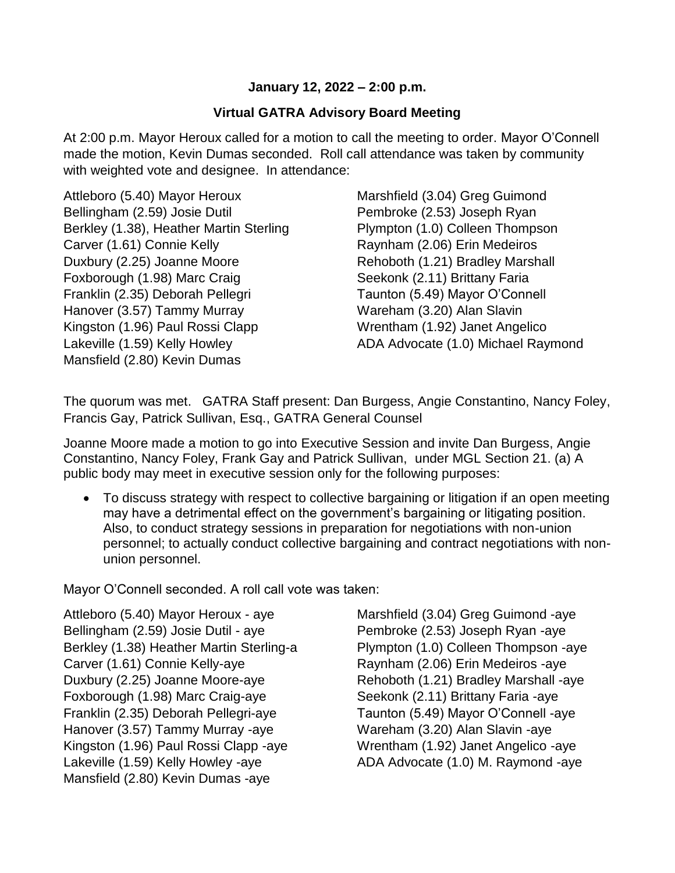## **January 12, 2022 – 2:00 p.m.**

## **Virtual GATRA Advisory Board Meeting**

At 2:00 p.m. Mayor Heroux called for a motion to call the meeting to order. Mayor O'Connell made the motion, Kevin Dumas seconded. Roll call attendance was taken by community with weighted vote and designee. In attendance:

Attleboro (5.40) Mayor Heroux Bellingham (2.59) Josie Dutil Berkley (1.38), Heather Martin Sterling Carver (1.61) Connie Kelly Duxbury (2.25) Joanne Moore Foxborough (1.98) Marc Craig Franklin (2.35) Deborah Pellegri Hanover (3.57) Tammy Murray Kingston (1.96) Paul Rossi Clapp Lakeville (1.59) Kelly Howley Mansfield (2.80) Kevin Dumas

Marshfield (3.04) Greg Guimond Pembroke (2.53) Joseph Ryan Plympton (1.0) Colleen Thompson Raynham (2.06) Erin Medeiros Rehoboth (1.21) Bradley Marshall Seekonk (2.11) Brittany Faria Taunton (5.49) Mayor O'Connell Wareham (3.20) Alan Slavin Wrentham (1.92) Janet Angelico ADA Advocate (1.0) Michael Raymond

The quorum was met. GATRA Staff present: Dan Burgess, Angie Constantino, Nancy Foley, Francis Gay, Patrick Sullivan, Esq., GATRA General Counsel

Joanne Moore made a motion to go into Executive Session and invite Dan Burgess, Angie Constantino, Nancy Foley, Frank Gay and Patrick Sullivan, under MGL Section 21. (a) A public body may meet in executive session only for the following purposes:

• To discuss strategy with respect to collective bargaining or litigation if an open meeting may have a detrimental effect on the government's bargaining or litigating position. Also, to conduct strategy sessions in preparation for negotiations with non-union personnel; to actually conduct collective bargaining and contract negotiations with nonunion personnel.

Mayor O'Connell seconded. A roll call vote was taken:

Attleboro (5.40) Mayor Heroux - aye Bellingham (2.59) Josie Dutil - aye Berkley (1.38) Heather Martin Sterling-a Carver (1.61) Connie Kelly-aye Duxbury (2.25) Joanne Moore-aye Foxborough (1.98) Marc Craig-aye Franklin (2.35) Deborah Pellegri-aye Hanover (3.57) Tammy Murray -aye Kingston (1.96) Paul Rossi Clapp -aye Lakeville (1.59) Kelly Howley -aye Mansfield (2.80) Kevin Dumas -aye

Marshfield (3.04) Greg Guimond -aye Pembroke (2.53) Joseph Ryan -aye Plympton (1.0) Colleen Thompson -aye Raynham (2.06) Erin Medeiros -aye Rehoboth (1.21) Bradley Marshall -aye Seekonk (2.11) Brittany Faria -aye Taunton (5.49) Mayor O'Connell -aye Wareham (3.20) Alan Slavin -aye Wrentham (1.92) Janet Angelico -aye ADA Advocate (1.0) M. Raymond -aye